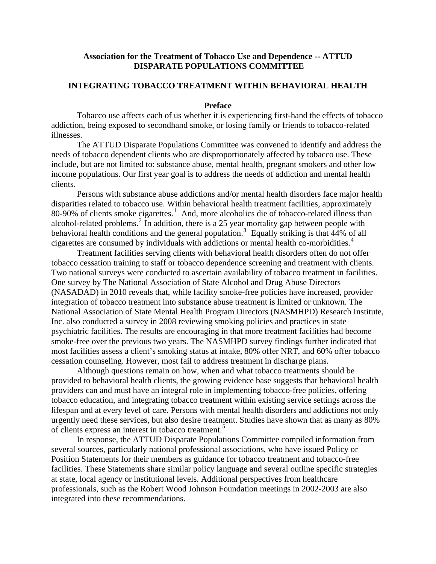### **Association for the Treatment of Tobacco Use and Dependence -- ATTUD DISPARATE POPULATIONS COMMITTEE**

# **INTEGRATING TOBACCO TREATMENT WITHIN BEHAVIORAL HEALTH**

#### **Preface**

Tobacco use affects each of us whether it is experiencing first-hand the effects of tobacco addiction, being exposed to secondhand smoke, or losing family or friends to tobacco-related illnesses.

The ATTUD Disparate Populations Committee was convened to identify and address the needs of tobacco dependent clients who are disproportionately affected by tobacco use. These include, but are not limited to: substance abuse, mental health, pregnant smokers and other low income populations. Our first year goal is to address the needs of addiction and mental health clients.

Persons with substance abuse addictions and/or mental health disorders face major health disparities related to tobacco use. Within behavioral health treatment facilities, approximately 80-90% of clients smoke cigarettes.<sup>[1](#page-8-0)</sup> And, more alcoholics die of tobacco-related illness than alcohol-related problems.<sup>[2](#page-8-1)</sup> In addition, there is a 25 year mortality gap between people with behavioral health conditions and the general population.<sup>[3](#page-8-2)</sup> Equally striking is that  $44\%$  of all cigarettes are consumed by individuals with addictions or mental health co-morbidities.[4](#page-8-3)

Treatment facilities serving clients with behavioral health disorders often do not offer tobacco cessation training to staff or tobacco dependence screening and treatment with clients. Two national surveys were conducted to ascertain availability of tobacco treatment in facilities. One survey by The National Association of State Alcohol and Drug Abuse Directors (NASADAD) in 2010 reveals that, while facility smoke-free policies have increased, provider integration of tobacco treatment into substance abuse treatment is limited or unknown. The National Association of State Mental Health Program Directors (NASMHPD) Research Institute, Inc. also conducted a survey in 2008 reviewing smoking policies and practices in state psychiatric facilities. The results are encouraging in that more treatment facilities had become smoke-free over the previous two years. The NASMHPD survey findings further indicated that most facilities assess a client's smoking status at intake, 80% offer NRT, and 60% offer tobacco cessation counseling. However, most fail to address treatment in discharge plans.

Although questions remain on how, when and what tobacco treatments should be provided to behavioral health clients, the growing evidence base suggests that behavioral health providers can and must have an integral role in implementing tobacco-free policies, offering tobacco education, and integrating tobacco treatment within existing service settings across the lifespan and at every level of care. Persons with mental health disorders and addictions not only urgently need these services, but also desire treatment. Studies have shown that as many as 80% of clients express an interest in tobacco treatment.<sup>[5](#page-8-4)</sup>

In response, the ATTUD Disparate Populations Committee compiled information from several sources, particularly national professional associations, who have issued Policy or Position Statements for their members as guidance for tobacco treatment and tobacco-free facilities. These Statements share similar policy language and several outline specific strategies at state, local agency or institutional levels. Additional perspectives from healthcare professionals, such as the Robert Wood Johnson Foundation meetings in 2002-2003 are also integrated into these recommendations.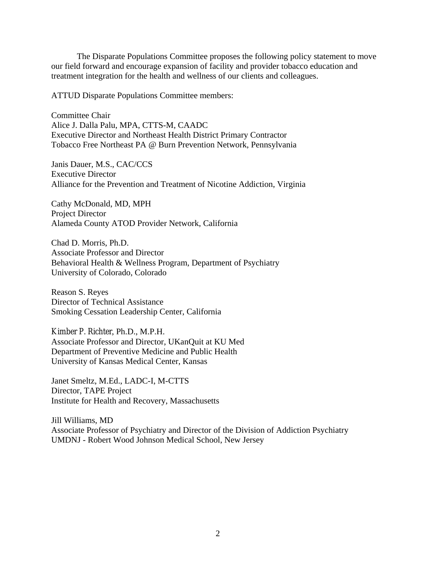The Disparate Populations Committee proposes the following policy statement to move our field forward and encourage expansion of facility and provider tobacco education and treatment integration for the health and wellness of our clients and colleagues.

ATTUD Disparate Populations Committee members:

Committee Chair Alice J. Dalla Palu, MPA, CTTS-M, CAADC Executive Director and Northeast Health District Primary Contractor Tobacco Free Northeast PA @ Burn Prevention Network, Pennsylvania

Janis Dauer, M.S., CAC/CCS Executive Director Alliance for the Prevention and Treatment of Nicotine Addiction, Virginia

Cathy McDonald, MD, MPH Project Director Alameda County ATOD Provider Network, California

Chad D. Morris, Ph.D. Associate Professor and Director Behavioral Health & Wellness Program, Department of Psychiatry University of Colorado, Colorado

Reason S. Reyes Director of Technical Assistance Smoking Cessation Leadership Center, California

Kimber P. Richter, Ph.D., M.P.H. Associate Professor and Director, UKanQuit at KU Med Department of Preventive Medicine and Public Health University of Kansas Medical Center, Kansas

Janet Smeltz, M.Ed., LADC-I, M-CTTS Director, TAPE Project Institute for Health and Recovery, Massachusetts

Jill Williams, MD Associate Professor of Psychiatry and Director of the Division of Addiction Psychiatry UMDNJ - Robert Wood Johnson Medical School, New Jersey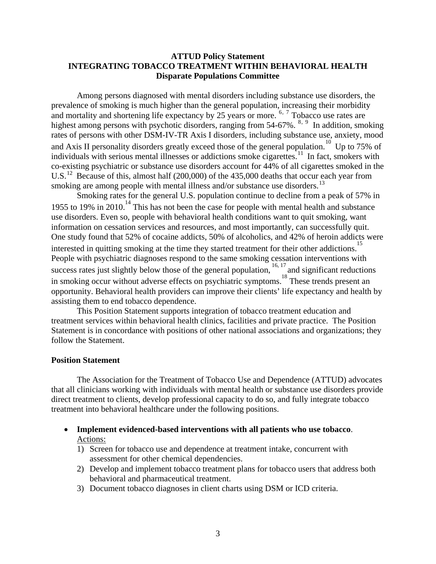## **ATTUD Policy Statement INTEGRATING TOBACCO TREATMENT WITHIN BEHAVIORAL HEALTH Disparate Populations Committee**

Among persons diagnosed with mental disorders including substance use disorders, the prevalence of smoking is much higher than the general population, increasing their morbidity and mortality and shortening life expectancy by 25 years or more. <sup>[6](#page-8-5), [7](#page-8-6)</sup> Tobacco use rates are highest among persons with psychotic disorders, ranging from 54-67%. <sup>[8](#page-8-7), [9](#page-8-8)</sup> In addition, smoking rates of persons with other DSM-IV-TR Axis I disorders, including substance use, anxiety, mood and Axis II personality disorders greatly exceed those of the general population.<sup>[10](#page-8-9)</sup> Up to 75% of individuals with serious mental illnesses or addictions smoke cigarettes.<sup>[11](#page-8-10)</sup> In fact, smokers with co-existing psychiatric or substance use disorders account for 44% of all cigarettes smoked in the U.S.<sup>[12](#page-8-11)</sup> Because of this, almost half (200,000) of the 435,000 deaths that occur each year from smoking are among people with mental illness and/or substance use disorders.<sup>[13](#page-8-12)</sup>

 Smoking rates for the general U.S. population continue to decline from a peak of 57% in 1955 to 19% in 2010.<sup>14</sup> This has not been the case for people with mental health and substance use disorders. Even so, people with behavioral health conditions want to quit smoking, want information on cessation services and resources, and most importantly, can successfully quit. One study found that 52% of cocaine addicts, 50% of alcoholics, and 42% of heroin addicts were interested in quitting smoking at the time they started treatment for their other addictions.<sup>15</sup> People with psychiatric diagnoses respond to the same smoking cessation interventions with success rates just slightly below those of the general population, <sup>16, 17</sup> and significant reductions in smoking occur without adverse effects on psychiatric symptoms.<sup>18</sup> These trends present an opportunity. Behavioral health providers can improve their clients' life expectancy and health by assisting them to end tobacco dependence.

This Position Statement supports integration of tobacco treatment education and treatment services within behavioral health clinics, facilities and private practice. The Position Statement is in concordance with positions of other national associations and organizations; they follow the Statement.

#### **Position Statement**

The Association for the Treatment of Tobacco Use and Dependence (ATTUD) advocates that all clinicians working with individuals with mental health or substance use disorders provide direct treatment to clients, develop professional capacity to do so, and fully integrate tobacco treatment into behavioral healthcare under the following positions.

- **Implement evidenced-based interventions with all patients who use tobacco**. Actions:
	- 1) Screen for tobacco use and dependence at treatment intake, concurrent with assessment for other chemical dependencies.
	- 2) Develop and implement tobacco treatment plans for tobacco users that address both behavioral and pharmaceutical treatment.
	- 3) Document tobacco diagnoses in client charts using DSM or ICD criteria.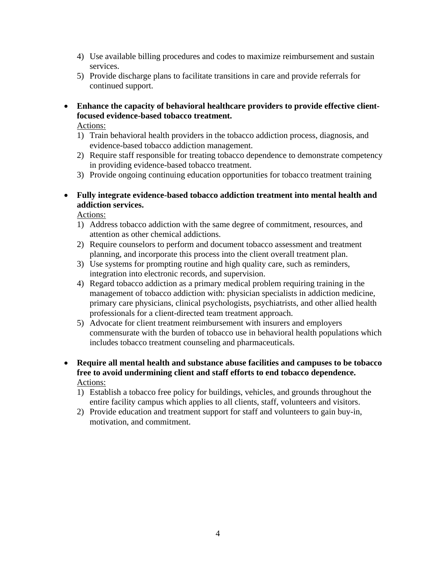- 4) Use available billing procedures and codes to maximize reimbursement and sustain services.
- 5) Provide discharge plans to facilitate transitions in care and provide referrals for continued support.
- Enhance the capacity of behavioral healthcare providers to provide effective client**focused evidence-based tobacco treatment.**

Actions:

- 1) Train behavioral health providers in the tobacco addiction process, diagnosis, and evidence-based tobacco addiction management.
- 2) Require staff responsible for treating tobacco dependence to demonstrate competency in providing evidence-based tobacco treatment.
- 3) Provide ongoing continuing education opportunities for tobacco treatment training
- **Fully integrate evidence-based tobacco addiction treatment into mental health and addiction services.**

Actions:

- 1) Address tobacco addiction with the same degree of commitment, resources, and attention as other chemical addictions.
- 2) Require counselors to perform and document tobacco assessment and treatment planning, and incorporate this process into the client overall treatment plan.
- 3) Use systems for prompting routine and high quality care, such as reminders, integration into electronic records, and supervision.
- 4) Regard tobacco addiction as a primary medical problem requiring training in the management of tobacco addiction with: physician specialists in addiction medicine, primary care physicians, clinical psychologists, psychiatrists, and other allied health professionals for a client-directed team treatment approach.
- 5) Advocate for client treatment reimbursement with insurers and employers commensurate with the burden of tobacco use in behavioral health populations which includes tobacco treatment counseling and pharmaceuticals.
- **Require all mental health and substance abuse facilities and campuses to be tobacco free to avoid undermining client and staff efforts to end tobacco dependence.**  Actions:
	- 1) Establish a tobacco free policy for buildings, vehicles, and grounds throughout the entire facility campus which applies to all clients, staff, volunteers and visitors.
	- 2) Provide education and treatment support for staff and volunteers to gain buy-in, motivation, and commitment.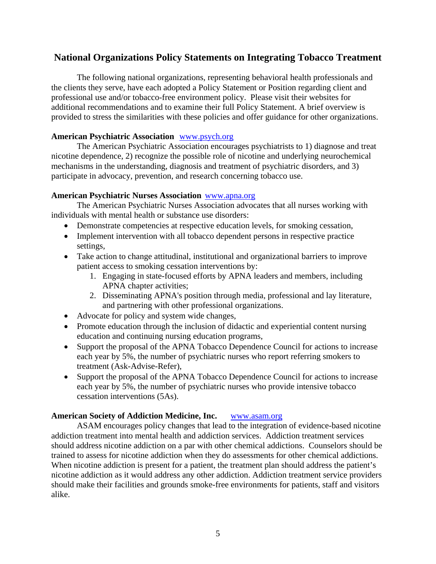# **National Organizations Policy Statements on Integrating Tobacco Treatment**

The following national organizations, representing behavioral health professionals and the clients they serve, have each adopted a Policy Statement or Position regarding client and professional use and/or tobacco-free environment policy. Please visit their websites for additional recommendations and to examine their full Policy Statement. A brief overview is provided to stress the similarities with these policies and offer guidance for other organizations.

# **American Psychiatric Association** [www.psych.org](http://www.psych.org/)

The American Psychiatric Association encourages psychiatrists to 1) diagnose and treat nicotine dependence, 2) recognize the possible role of nicotine and underlying neurochemical mechanisms in the understanding, diagnosis and treatment of psychiatric disorders, and 3) participate in advocacy, prevention, and research concerning tobacco use.

## **American Psychiatric Nurses Association** [www.apna.org](http://www.apna.org/)

The American Psychiatric Nurses Association advocates that all nurses working with individuals with mental health or substance use disorders:

- Demonstrate competencies at respective education levels, for smoking cessation,
- Implement intervention with all tobacco dependent persons in respective practice settings,
- Take action to change attitudinal, institutional and organizational barriers to improve patient access to smoking cessation interventions by:
	- 1. Engaging in state-focused efforts by APNA leaders and members, including APNA chapter activities;
	- 2. Disseminating APNA's position through media, professional and lay literature, and partnering with other professional organizations.
- Advocate for policy and system wide changes,
- Promote education through the inclusion of didactic and experiential content nursing education and continuing nursing education programs,
- Support the proposal of the APNA Tobacco Dependence Council for actions to increase each year by 5%, the number of psychiatric nurses who report referring smokers to treatment (Ask-Advise-Refer),
- Support the proposal of the APNA Tobacco Dependence Council for actions to increase each year by 5%, the number of psychiatric nurses who provide intensive tobacco cessation interventions (5As).

# **American Society of Addiction Medicine, Inc.** [www.asam.org](http://www.asam.org/)

ASAM encourages policy changes that lead to the integration of evidence-based nicotine addiction treatment into mental health and addiction services. Addiction treatment services should address nicotine addiction on a par with other chemical addictions. Counselors should be trained to assess for nicotine addiction when they do assessments for other chemical addictions. When nicotine addiction is present for a patient, the treatment plan should address the patient's nicotine addiction as it would address any other addiction. Addiction treatment service providers should make their facilities and grounds smoke-free environments for patients, staff and visitors alike.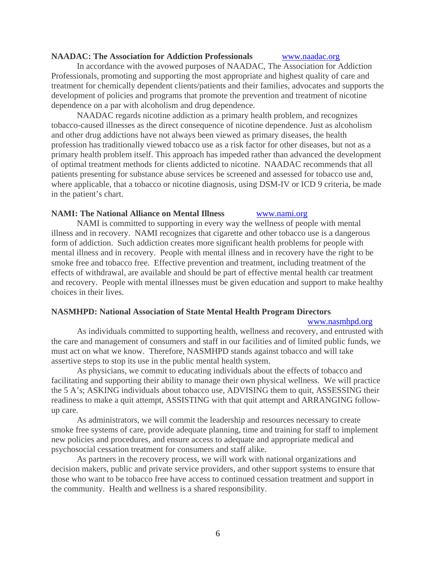### **NAADAC: The Association for Addiction Professionals** [www.naadac.org](http://www.naadac.org/)

In accordance with the avowed purposes of NAADAC, The Association for Addiction Professionals, promoting and supporting the most appropriate and highest quality of care and treatment for chemically dependent clients/patients and their families, advocates and supports the development of policies and programs that promote the prevention and treatment of nicotine dependence on a par with alcoholism and drug dependence.

NAADAC regards nicotine addiction as a primary health problem, and recognizes tobacco-caused illnesses as the direct consequence of nicotine dependence. Just as alcoholism and other drug addictions have not always been viewed as primary diseases, the health profession has traditionally viewed tobacco use as a risk factor for other diseases, but not as a primary health problem itself. This approach has impeded rather than advanced the development of optimal treatment methods for clients addicted to nicotine. NAADAC recommends that all patients presenting for substance abuse services be screened and assessed for tobacco use and, where applicable, that a tobacco or nicotine diagnosis, using DSM-IV or ICD 9 criteria, be made in the patient's chart.

#### **NAMI: The National Alliance on Mental Illness** [www.nami.org](http://www.nami.org/)

NAMI is committed to supporting in every way the wellness of people with mental illness and in recovery. NAMI recognizes that cigarette and other tobacco use is a dangerous form of addiction. Such addiction creates more significant health problems for people with mental illness and in recovery. People with mental illness and in recovery have the right to be smoke free and tobacco free. Effective prevention and treatment, including treatment of the effects of withdrawal, are available and should be part of effective mental health car treatment and recovery. People with mental illnesses must be given education and support to make healthy choices in their lives.

#### **NASMHPD: National Association of State Mental Health Program Directors**

#### [www.nasmhpd.org](http://www.nasmhpd.org/)

 As individuals committed to supporting health, wellness and recovery, and entrusted with the care and management of consumers and staff in our facilities and of limited public funds, we must act on what we know. Therefore, NASMHPD stands against tobacco and will take assertive steps to stop its use in the public mental health system.

As physicians, we commit to educating individuals about the effects of tobacco and facilitating and supporting their ability to manage their own physical wellness. We will practice the 5 A's; ASKING individuals about tobacco use, ADVISING them to quit, ASSESSING their readiness to make a quit attempt, ASSISTING with that quit attempt and ARRANGING followup care.

As administrators, we will commit the leadership and resources necessary to create smoke free systems of care, provide adequate planning, time and training for staff to implement new policies and procedures, and ensure access to adequate and appropriate medical and psychosocial cessation treatment for consumers and staff alike.

As partners in the recovery process, we will work with national organizations and decision makers, public and private service providers, and other support systems to ensure that those who want to be tobacco free have access to continued cessation treatment and support in the community. Health and wellness is a shared responsibility.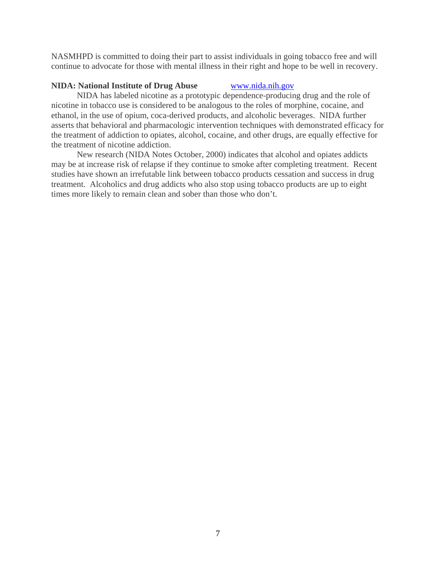NASMHPD is committed to doing their part to assist individuals in going tobacco free and will continue to advocate for those with mental illness in their right and hope to be well in recovery.

# **NIDA: National Institute of Drug Abuse [www.nida.nih.gov](http://www.nida.nih.gov/)**

 NIDA has labeled nicotine as a prototypic dependence-producing drug and the role of nicotine in tobacco use is considered to be analogous to the roles of morphine, cocaine, and ethanol, in the use of opium, coca-derived products, and alcoholic beverages. NIDA further asserts that behavioral and pharmacologic intervention techniques with demonstrated efficacy for the treatment of addiction to opiates, alcohol, cocaine, and other drugs, are equally effective for the treatment of nicotine addiction.

 New research (NIDA Notes October, 2000) indicates that alcohol and opiates addicts may be at increase risk of relapse if they continue to smoke after completing treatment. Recent studies have shown an irrefutable link between tobacco products cessation and success in drug treatment. Alcoholics and drug addicts who also stop using tobacco products are up to eight times more likely to remain clean and sober than those who don't.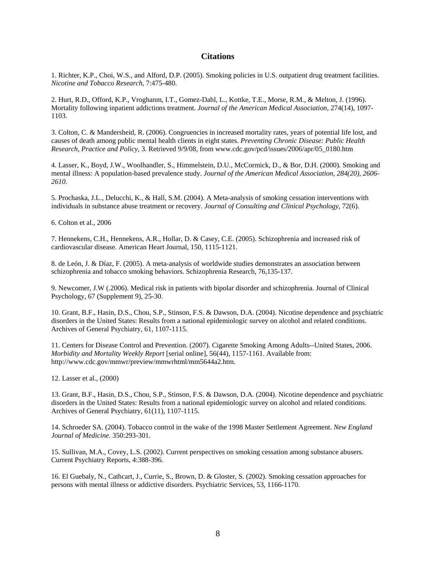#### **Citations**

1. Richter, K.P., Choi, W.S., and Alford, D.P. (2005). Smoking policies in U.S. outpatient drug treatment facilities. *Nicotine and Tobacco Research*, 7:475-480.

2. Hurt, R.D., Offord, K.P., Vroghanm, I.T., Gomez-Dahl, L., Kottke, T.E., Morse, R.M., & Melton, J. (1996). Mortality following inpatient addictions treatment. *Journal of the American Medical Association,* 274(14), 1097- 1103.

3. Colton, C. & Mandersheid, R. (2006). Congruencies in increased mortality rates, years of potential life lost, and causes of death among public mental health clients in eight states. *Preventing Chronic Disease: Public Health Research, Practice and Policy*, 3*.* Retrieved 9/9/08, from www.cdc.gov/pcd/issues/2006/apr/05\_0180.htm

4. Lasser, K., Boyd, J.W., Woolhandler, S., Himmelstein, D.U., McCormick, D., & Bor, D.H. (2000). Smoking and mental illness: A population-based prevalence study. *Journal of the American Medical Association, 284(20), 2606- 2610.*

5. Prochaska, J.L., Delucchi, K., & Hall, S.M. (2004). A Meta-analysis of smoking cessation interventions with individuals in substance abuse treatment or recovery. *Journal of Consulting and Clinical Psychology,* 72(6).

6. Colton et al., 2006

7. Hennekens, C.H., Hennekens, A.R., Hollar, D. & Casey, C.E. (2005). Schizophrenia and increased risk of cardiovascular disease. American Heart Journal, 150, 1115-1121.

8. de León, J. & Díaz, F. (2005). A meta-analysis of worldwide studies demonstrates an association between schizophrenia and tobacco smoking behaviors. Schizophrenia Research, 76,135-137.

9. Newcomer, J.W (.2006). Medical risk in patients with bipolar disorder and schizophrenia. Journal of Clinical Psychology, 67 (Supplement 9), 25-30.

10. Grant, B.F., Hasin, D.S., Chou, S.P., Stinson, F.S. & Dawson, D.A. (2004). Nicotine dependence and psychiatric disorders in the United States: Results from a national epidemiologic survey on alcohol and related conditions. Archives of General Psychiatry, 61, 1107-1115.

11. Centers for Disease Control and Prevention. (2007). Cigarette Smoking Among Adults--United States, 2006. *Morbidity and Mortality Weekly Report* [serial online], 56(44), 1157-1161. Available from: http://www.cdc.gov/mmwr/preview/mmwrhtml/mm5644a2.htm.

12. Lasser et al., (2000)

13. Grant, B.F., Hasin, D.S., Chou, S.P., Stinson, F.S. & Dawson, D.A. (2004). Nicotine dependence and psychiatric disorders in the United States: Results from a national epidemiologic survey on alcohol and related conditions. Archives of General Psychiatry, 61(11), 1107-1115.

14. Schroeder SA. (2004). Tobacco control in the wake of the 1998 Master Settlement Agreement. *New England Journal of Medicine.* 350:293-301.

15. Sullivan, M.A., Covey, L.S. (2002). Current perspectives on smoking cessation among substance abusers. Current Psychiatry Reports, 4:388-396.

16. El Guebaly, N., Cathcart, J., Currie, S., Brown, D. & Gloster, S. (2002). Smoking cessation approaches for persons with mental illness or addictive disorders. Psychiatric Services, 53, 1166-1170.